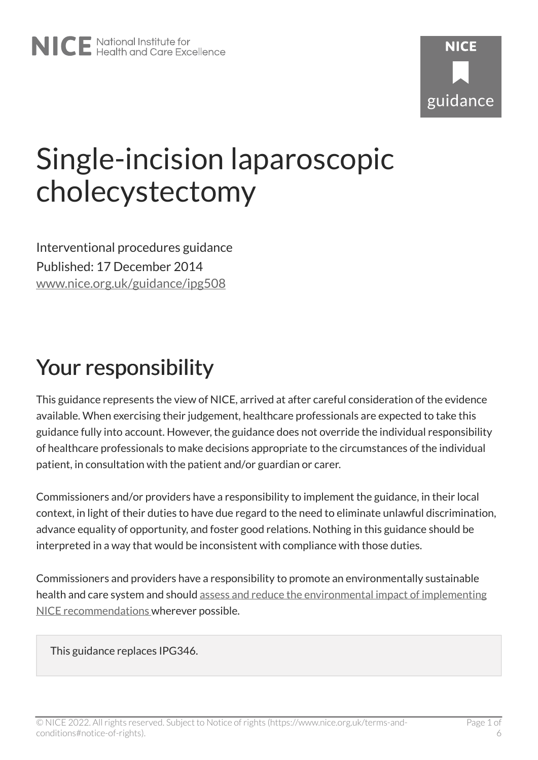# Single-incision laparoscopic cholecystectomy

Interventional procedures guidance Published: 17 December 2014 [www.nice.org.uk/guidance/ipg508](https://www.nice.org.uk/guidance/ipg508) 

### Your responsibility

This guidance represents the view of NICE, arrived at after careful consideration of the evidence available. When exercising their judgement, healthcare professionals are expected to take this guidance fully into account. However, the guidance does not override the individual responsibility of healthcare professionals to make decisions appropriate to the circumstances of the individual patient, in consultation with the patient and/or guardian or carer.

Commissioners and/or providers have a responsibility to implement the guidance, in their local context, in light of their duties to have due regard to the need to eliminate unlawful discrimination, advance equality of opportunity, and foster good relations. Nothing in this guidance should be interpreted in a way that would be inconsistent with compliance with those duties.

Commissioners and providers have a responsibility to promote an environmentally sustainable health and care system and should [assess and reduce the environmental impact of implementing](https://www.nice.org.uk/about/who-we-are/sustainability)  [NICE recommendations w](https://www.nice.org.uk/about/who-we-are/sustainability)herever possible.

This guidance replaces IPG346.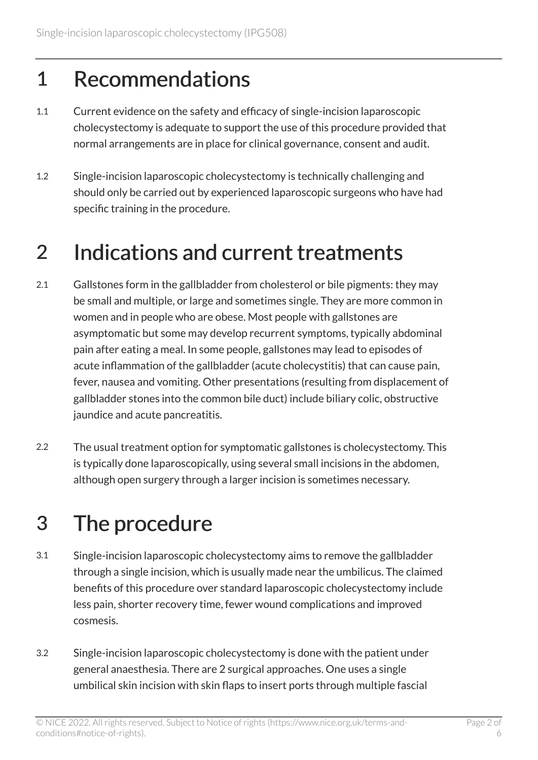#### 1 Recommendations

- 1.1 Current evidence on the safety and efficacy of single-incision laparoscopic cholecystectomy is adequate to support the use of this procedure provided that normal arrangements are in place for clinical governance, consent and audit.
- 1.2 Single-incision laparoscopic cholecystectomy is technically challenging and should only be carried out by experienced laparoscopic surgeons who have had specific training in the procedure.

#### 2 Indications and current treatments

- 2.1 Gallstones form in the gallbladder from cholesterol or bile pigments: they may be small and multiple, or large and sometimes single. They are more common in women and in people who are obese. Most people with gallstones are asymptomatic but some may develop recurrent symptoms, typically abdominal pain after eating a meal. In some people, gallstones may lead to episodes of acute inflammation of the gallbladder (acute cholecystitis) that can cause pain, fever, nausea and vomiting. Other presentations (resulting from displacement of gallbladder stones into the common bile duct) include biliary colic, obstructive jaundice and acute pancreatitis.
- 2.2 The usual treatment option for symptomatic gallstones is cholecystectomy. This is typically done laparoscopically, using several small incisions in the abdomen, although open surgery through a larger incision is sometimes necessary.

### 3 The procedure

- 3.1 Single-incision laparoscopic cholecystectomy aims to remove the gallbladder through a single incision, which is usually made near the umbilicus. The claimed benefits of this procedure over standard laparoscopic cholecystectomy include less pain, shorter recovery time, fewer wound complications and improved cosmesis.
- 3.2 Single-incision laparoscopic cholecystectomy is done with the patient under general anaesthesia. There are 2 surgical approaches. One uses a single umbilical skin incision with skin flaps to insert ports through multiple fascial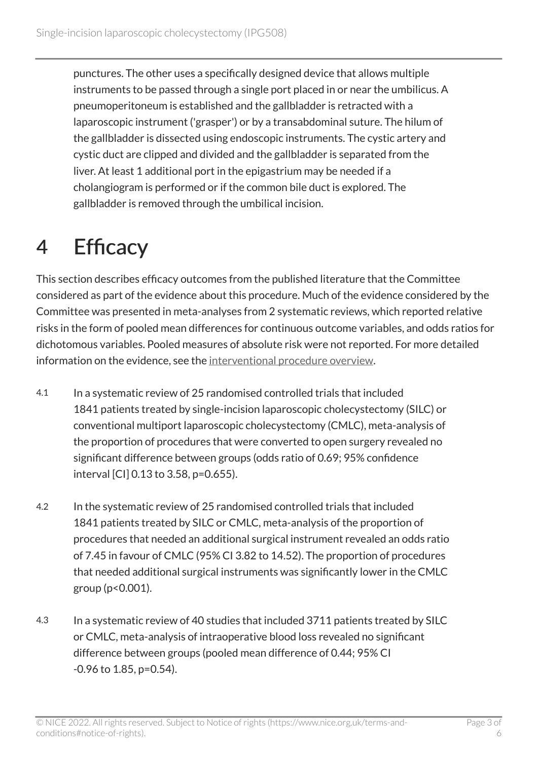punctures. The other uses a specifically designed device that allows multiple instruments to be passed through a single port placed in or near the umbilicus. A pneumoperitoneum is established and the gallbladder is retracted with a laparoscopic instrument ('grasper') or by a transabdominal suture. The hilum of the gallbladder is dissected using endoscopic instruments. The cystic artery and cystic duct are clipped and divided and the gallbladder is separated from the liver. At least 1 additional port in the epigastrium may be needed if a cholangiogram is performed or if the common bile duct is explored. The gallbladder is removed through the umbilical incision.

### 4 Efficacy

This section describes efficacy outcomes from the published literature that the Committee considered as part of the evidence about this procedure. Much of the evidence considered by the Committee was presented in meta-analyses from 2 systematic reviews, which reported relative risks in the form of pooled mean differences for continuous outcome variables, and odds ratios for dichotomous variables. Pooled measures of absolute risk were not reported. For more detailed information on the evidence, see the [interventional procedure overview](http://www.nice.org.uk/Guidance/IPG508/Evidence).

- 4.1 In a systematic review of 25 randomised controlled trials that included 1841 patients treated by single-incision laparoscopic cholecystectomy (SILC) or conventional multiport laparoscopic cholecystectomy (CMLC), meta-analysis of the proportion of procedures that were converted to open surgery revealed no significant difference between groups (odds ratio of 0.69; 95% confidence interval [CI] 0.13 to 3.58, p=0.655).
- 4.2 In the systematic review of 25 randomised controlled trials that included 1841 patients treated by SILC or CMLC, meta-analysis of the proportion of procedures that needed an additional surgical instrument revealed an odds ratio of 7.45 in favour of CMLC (95% CI 3.82 to 14.52). The proportion of procedures that needed additional surgical instruments was significantly lower in the CMLC group (p<0.001).
- 4.3 In a systematic review of 40 studies that included 3711 patients treated by SILC or CMLC, meta-analysis of intraoperative blood loss revealed no significant difference between groups (pooled mean difference of 0.44; 95% CI -0.96 to 1.85, p=0.54).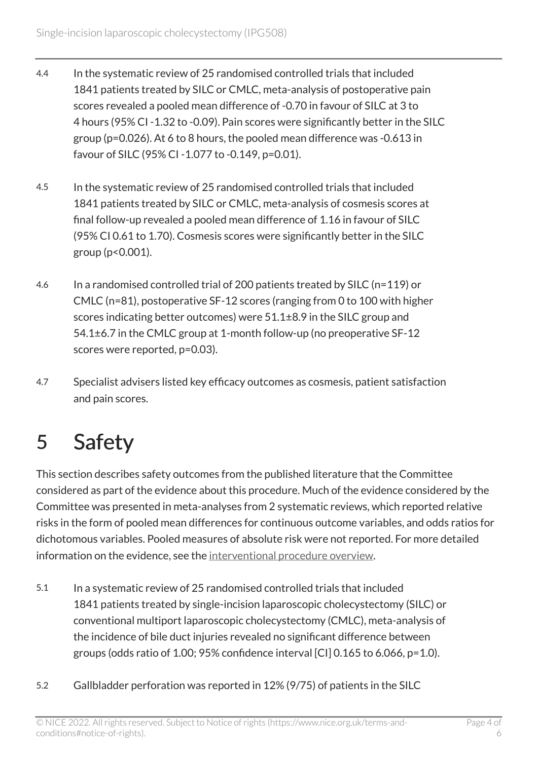- 4.4 In the systematic review of 25 randomised controlled trials that included 1841 patients treated by SILC or CMLC, meta-analysis of postoperative pain scores revealed a pooled mean difference of -0.70 in favour of SILC at 3 to 4 hours (95% CI -1.32 to -0.09). Pain scores were significantly better in the SILC group (p=0.026). At 6 to 8 hours, the pooled mean difference was -0.613 in favour of SILC (95% CI -1.077 to -0.149, p=0.01).
- 4.5 In the systematic review of 25 randomised controlled trials that included 1841 patients treated by SILC or CMLC, meta-analysis of cosmesis scores at final follow-up revealed a pooled mean difference of 1.16 in favour of SILC (95% CI 0.61 to 1.70). Cosmesis scores were significantly better in the SILC group (p<0.001).
- 4.6 In a randomised controlled trial of 200 patients treated by SILC (n=119) or CMLC (n=81), postoperative SF-12 scores (ranging from 0 to 100 with higher scores indicating better outcomes) were 51.1±8.9 in the SILC group and 54.1±6.7 in the CMLC group at 1-month follow-up (no preoperative SF-12 scores were reported, p=0.03).
- 4.7 Specialist advisers listed key efficacy outcomes as cosmesis, patient satisfaction and pain scores.

## 5 Safety

This section describes safety outcomes from the published literature that the Committee considered as part of the evidence about this procedure. Much of the evidence considered by the Committee was presented in meta-analyses from 2 systematic reviews, which reported relative risks in the form of pooled mean differences for continuous outcome variables, and odds ratios for dichotomous variables. Pooled measures of absolute risk were not reported. For more detailed information on the evidence, see the [interventional procedure overview](http://www.nice.org.uk/Guidance/IPG508/Evidence).

- 5.1 In a systematic review of 25 randomised controlled trials that included 1841 patients treated by single-incision laparoscopic cholecystectomy (SILC) or conventional multiport laparoscopic cholecystectomy (CMLC), meta-analysis of the incidence of bile duct injuries revealed no significant difference between groups (odds ratio of 1.00; 95% confidence interval  $\left[CI\right]$  0.165 to 6.066, p=1.0).
- 5.2 Gallbladder perforation was reported in 12% (9/75) of patients in the SILC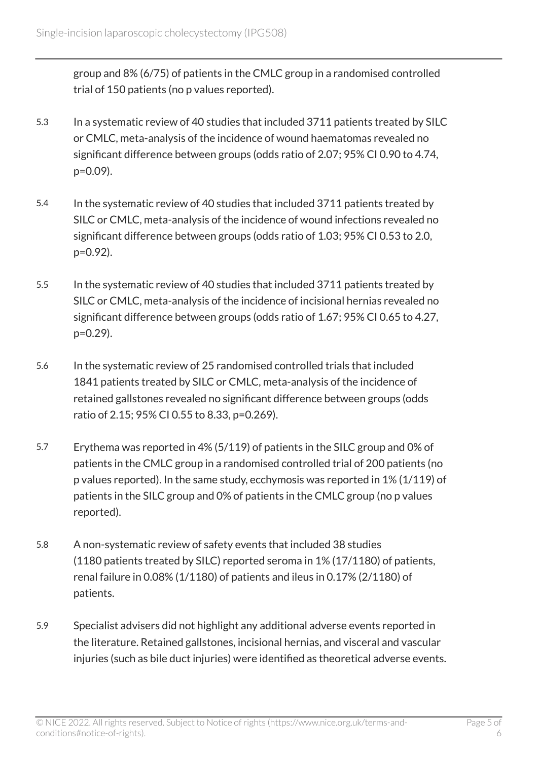group and 8% (6/75) of patients in the CMLC group in a randomised controlled trial of 150 patients (no p values reported).

- 5.3 In a systematic review of 40 studies that included 3711 patients treated by SILC or CMLC, meta-analysis of the incidence of wound haematomas revealed no significant difference between groups (odds ratio of 2.07; 95% CI 0.90 to 4.74, p=0.09).
- 5.4 In the systematic review of 40 studies that included 3711 patients treated by SILC or CMLC, meta-analysis of the incidence of wound infections revealed no significant difference between groups (odds ratio of 1.03; 95% CI 0.53 to 2.0, p=0.92).
- 5.5 In the systematic review of 40 studies that included 3711 patients treated by SILC or CMLC, meta-analysis of the incidence of incisional hernias revealed no significant difference between groups (odds ratio of 1.67; 95% CI 0.65 to 4.27, p=0.29).
- 5.6 In the systematic review of 25 randomised controlled trials that included 1841 patients treated by SILC or CMLC, meta-analysis of the incidence of retained gallstones revealed no significant difference between groups (odds ratio of 2.15; 95% CI 0.55 to 8.33, p=0.269).
- 5.7 Erythema was reported in 4% (5/119) of patients in the SILC group and 0% of patients in the CMLC group in a randomised controlled trial of 200 patients (no p values reported). In the same study, ecchymosis was reported in 1% (1/119) of patients in the SILC group and 0% of patients in the CMLC group (no p values reported).
- 5.8 A non-systematic review of safety events that included 38 studies (1180 patients treated by SILC) reported seroma in 1% (17/1180) of patients, renal failure in 0.08% (1/1180) of patients and ileus in 0.17% (2/1180) of patients.
- 5.9 Specialist advisers did not highlight any additional adverse events reported in the literature. Retained gallstones, incisional hernias, and visceral and vascular injuries (such as bile duct injuries) were identified as theoretical adverse events.